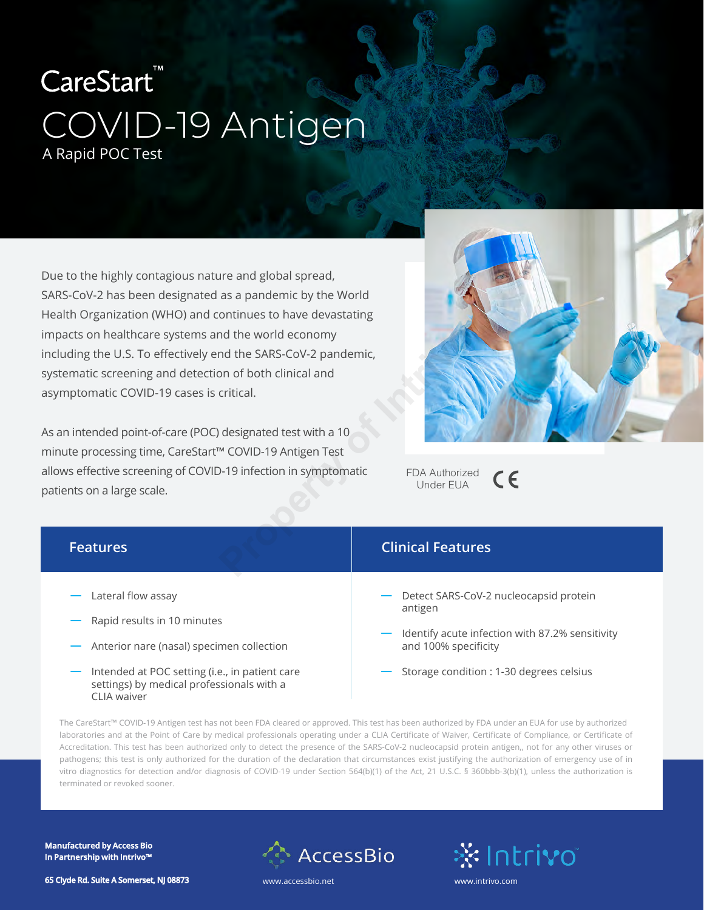# CareStart<sup>"</sup> COVID-19 Antigen A Rapid POC Test

Due to the highly contagious nature and global spread, SARS-CoV-2 has been designated as a pandemic by the World Health Organization (WHO) and continues to have devastating impacts on healthcare systems and the world economy including the U.S. To effectively end the SARS-CoV-2 pandemic, systematic screening and detection of both clinical and asymptomatic COVID-19 cases is critical.

As an intended point-of-care (POC) designated test with a 10 minute processing time, CareStart™ COVID-19 Antigen Test allows effective screening of COVID-19 infection in symptomatic patients on a large scale.



| bacts on healthcare systems and the world economy<br>luding the U.S. To effectively end the SARS-CoV-2 pandemic,<br>tematic screening and detection of both clinical and<br>mptomatic COVID-19 cases is critical.<br>an intended point-of-care (POC) designated test with a 10<br>nute processing time, CareStart™ COVID-19 Antigen Test<br>ws effective screening of COVID-19 infection in symptomatic<br>FDA Authorized<br>CE<br><b>Under EUA</b><br>ients on a large scale. |                                                                         |
|--------------------------------------------------------------------------------------------------------------------------------------------------------------------------------------------------------------------------------------------------------------------------------------------------------------------------------------------------------------------------------------------------------------------------------------------------------------------------------|-------------------------------------------------------------------------|
| <b>Features</b>                                                                                                                                                                                                                                                                                                                                                                                                                                                                | <b>Clinical Features</b>                                                |
| Lateral flow assay                                                                                                                                                                                                                                                                                                                                                                                                                                                             | Detect SARS-CoV-2 nucleocapsid protein                                  |
| Rapid results in 10 minutes                                                                                                                                                                                                                                                                                                                                                                                                                                                    | antigen                                                                 |
| Anterior nare (nasal) specimen collection                                                                                                                                                                                                                                                                                                                                                                                                                                      | Identify acute infection with 87.2% sensitivity<br>and 100% specificity |
| Intended at POC setting (i.e., in patient care<br>settings) by medical professionals with a                                                                                                                                                                                                                                                                                                                                                                                    | Storage condition : 1-30 degrees celsius                                |

The CareStart™ COVID-19 Antigen test has not been FDA cleared or approved. This test has been authorized by FDA under an EUA for use by authorized laboratories and at the Point of Care by medical professionals operating under a CLIA Certificate of Waiver, Certificate of Compliance, or Certificate of Accreditation. This test has been authorized only to detect the presence of the SARS-CoV-2 nucleocapsid protein antigen,, not for any other viruses or pathogens; this test is only authorized for the duration of the declaration that circumstances exist justifying the authorization of emergency use of in vitro diagnostics for detection and/or diagnosis of COVID-19 under Section 564(b)(1) of the Act, 21 U.S.C. § 360bbb-3(b)(1), unless the authorization is terminated or revoked sooner.

**Manufactured by Access Bio In Partnership with Intrivo™**



\*intrivo

**65 Clyde Rd. Suite A Somerset, NJ 08873**

CLIA waiver

www.accessbio.net www.intrivo.com